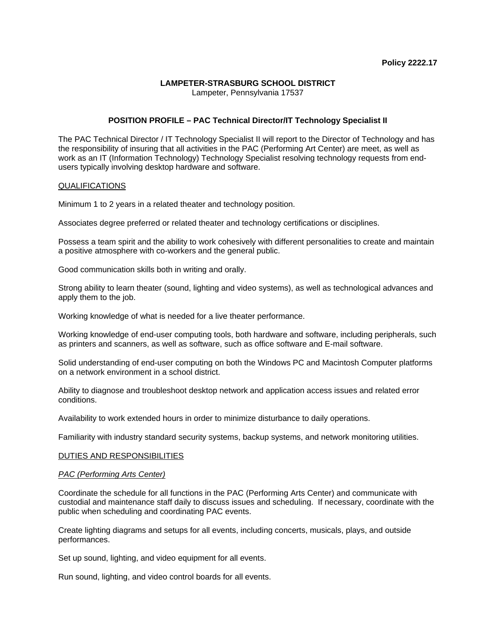# **LAMPETER-STRASBURG SCHOOL DISTRICT**

Lampeter, Pennsylvania 17537

# **POSITION PROFILE – PAC Technical Director/IT Technology Specialist II**

The PAC Technical Director / IT Technology Specialist II will report to the Director of Technology and has the responsibility of insuring that all activities in the PAC (Performing Art Center) are meet, as well as work as an IT (Information Technology) Technology Specialist resolving technology requests from endusers typically involving desktop hardware and software.

#### QUALIFICATIONS

Minimum 1 to 2 years in a related theater and technology position.

Associates degree preferred or related theater and technology certifications or disciplines.

Possess a team spirit and the ability to work cohesively with different personalities to create and maintain a positive atmosphere with co-workers and the general public.

Good communication skills both in writing and orally.

Strong ability to learn theater (sound, lighting and video systems), as well as technological advances and apply them to the job.

Working knowledge of what is needed for a live theater performance.

Working knowledge of end-user computing tools, both hardware and software, including peripherals, such as printers and scanners, as well as software, such as office software and E-mail software.

Solid understanding of end-user computing on both the Windows PC and Macintosh Computer platforms on a network environment in a school district.

Ability to diagnose and troubleshoot desktop network and application access issues and related error conditions.

Availability to work extended hours in order to minimize disturbance to daily operations.

Familiarity with industry standard security systems, backup systems, and network monitoring utilities.

#### DUTIES AND RESPONSIBILITIES

#### *PAC (Performing Arts Center)*

Coordinate the schedule for all functions in the PAC (Performing Arts Center) and communicate with custodial and maintenance staff daily to discuss issues and scheduling. If necessary, coordinate with the public when scheduling and coordinating PAC events.

Create lighting diagrams and setups for all events, including concerts, musicals, plays, and outside performances.

Set up sound, lighting, and video equipment for all events.

Run sound, lighting, and video control boards for all events.